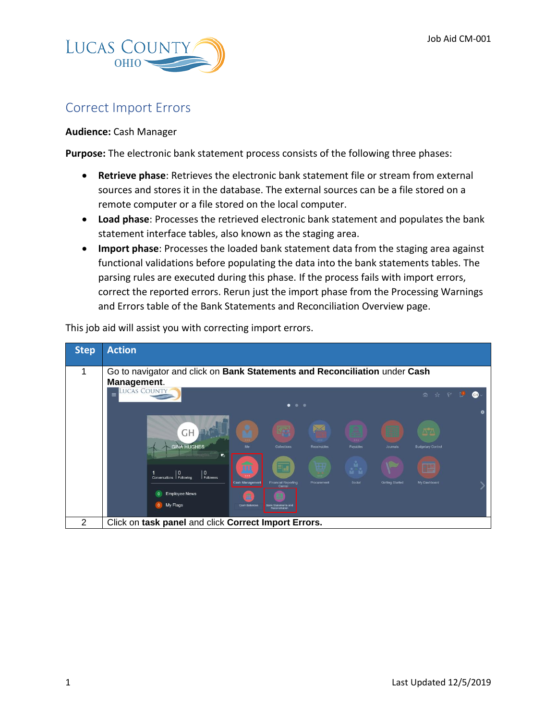

## Correct Import Errors

## **Audience:** Cash Manager

**Purpose:** The electronic bank statement process consists of the following three phases:

- **Retrieve phase**: Retrieves the electronic bank statement file or stream from external sources and stores it in the database. The external sources can be a file stored on a remote computer or a file stored on the local computer.
- **Load phase**: Processes the retrieved electronic bank statement and populates the bank statement interface tables, also known as the staging area.
- **Import phase**: Processes the loaded bank statement data from the staging area against functional validations before populating the data into the bank statements tables. The parsing rules are executed during this phase. If the process fails with import errors, correct the reported errors. Rerun just the import phase from the Processing Warnings and Errors table of the Bank Statements and Reconciliation Overview page.

This job aid will assist you with correcting import errors.